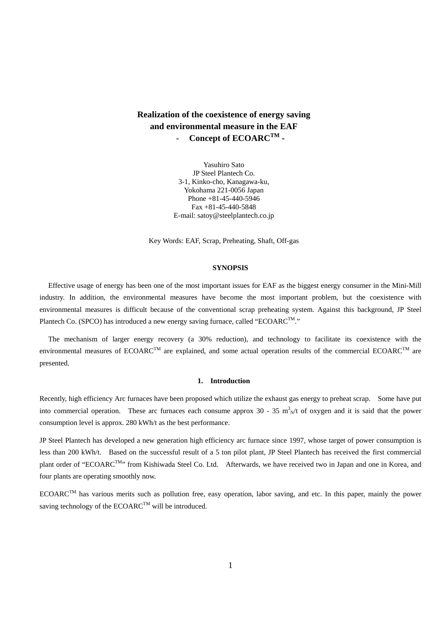# **Realization of the coexistence of energy saving and environmental measure in the EAF**  - **Concept of ECOARCTM -**

Yasuhiro Sato JP Steel Plantech Co. 3-1, Kinko-cho, Kanagawa-ku, Yokohama 221-0056 Japan Phone +81-45-440-5946 Fax +81-45-440-5848 E-mail: satoy@steelplantech.co.jp

Key Words: EAF, Scrap, Preheating, Shaft, Off-gas

#### **SYNOPSIS**

Effective usage of energy has been one of the most important issues for EAF as the biggest energy consumer in the Mini-Mill industry. In addition, the environmental measures have become the most important problem, but the coexistence with environmental measures is difficult because of the conventional scrap preheating system. Against this background, JP Steel Plantech Co. (SPCO) has introduced a new energy saving furnace, called "ECOARC<sup>TM</sup>."

The mechanism of larger energy recovery (a 30% reduction), and technology to facilitate its coexistence with the environmental measures of  $ECOARC^{TM}$  are explained, and some actual operation results of the commercial  $ECOARC^{TM}$  are presented.

#### **1. Introduction**

Recently, high efficiency Arc furnaces have been proposed which utilize the exhaust gas energy to preheat scrap. Some have put into commercial operation. These arc furnaces each consume approx  $30 - 35$  m<sup>3</sup><sub>N</sub>/t of oxygen and it is said that the power consumption level is approx. 280 kWh/t as the best performance.

JP Steel Plantech has developed a new generation high efficiency arc furnace since 1997, whose target of power consumption is less than 200 kWh/t. Based on the successful result of a 5 ton pilot plant, JP Steel Plantech has received the first commercial plant order of "ECOARCTM" from Kishiwada Steel Co. Ltd. Afterwards, we have received two in Japan and one in Korea, and four plants are operating smoothly now.

 $ECOARC^{TM}$  has various merits such as pollution free, easy operation, labor saving, and etc. In this paper, mainly the power saving technology of the  $ECOARC^{TM}$  will be introduced.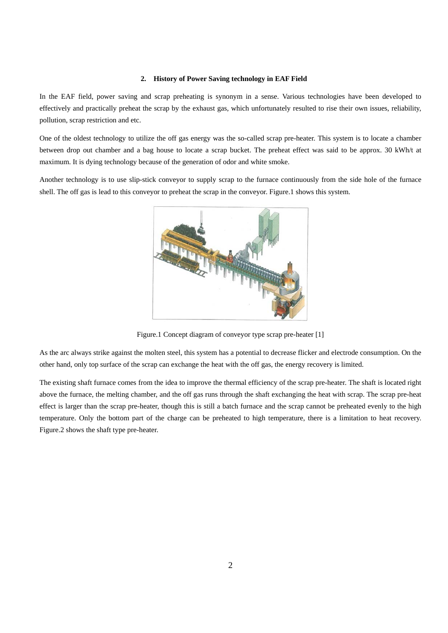## **2. History of Power Saving technology in EAF Field**

In the EAF field, power saving and scrap preheating is synonym in a sense. Various technologies have been developed to effectively and practically preheat the scrap by the exhaust gas, which unfortunately resulted to rise their own issues, reliability, pollution, scrap restriction and etc.

One of the oldest technology to utilize the off gas energy was the so-called scrap pre-heater. This system is to locate a chamber between drop out chamber and a bag house to locate a scrap bucket. The preheat effect was said to be approx. 30 kWh/t at maximum. It is dying technology because of the generation of odor and white smoke.

Another technology is to use slip-stick conveyor to supply scrap to the furnace continuously from the side hole of the furnace shell. The off gas is lead to this conveyor to preheat the scrap in the conveyor. Figure.1 shows this system.



Figure.1 Concept diagram of conveyor type scrap pre-heater [1]

As the arc always strike against the molten steel, this system has a potential to decrease flicker and electrode consumption. On the other hand, only top surface of the scrap can exchange the heat with the off gas, the energy recovery is limited.

The existing shaft furnace comes from the idea to improve the thermal efficiency of the scrap pre-heater. The shaft is located right above the furnace, the melting chamber, and the off gas runs through the shaft exchanging the heat with scrap. The scrap pre-heat effect is larger than the scrap pre-heater, though this is still a batch furnace and the scrap cannot be preheated evenly to the high temperature. Only the bottom part of the charge can be preheated to high temperature, there is a limitation to heat recovery. Figure.2 shows the shaft type pre-heater.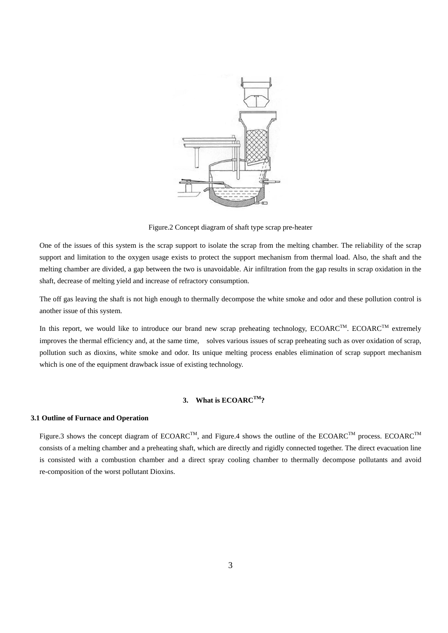

Figure.2 Concept diagram of shaft type scrap pre-heater

One of the issues of this system is the scrap support to isolate the scrap from the melting chamber. The reliability of the scrap support and limitation to the oxygen usage exists to protect the support mechanism from thermal load. Also, the shaft and the melting chamber are divided, a gap between the two is unavoidable. Air infiltration from the gap results in scrap oxidation in the shaft, decrease of melting yield and increase of refractory consumption.

The off gas leaving the shaft is not high enough to thermally decompose the white smoke and odor and these pollution control is another issue of this system.

In this report, we would like to introduce our brand new scrap preheating technology,  $ECOARC^{TM}$ .  $ECOARC^{TM}$  extremely improves the thermal efficiency and, at the same time, solves various issues of scrap preheating such as over oxidation of scrap, pollution such as dioxins, white smoke and odor. Its unique melting process enables elimination of scrap support mechanism which is one of the equipment drawback issue of existing technology.

# 3. What is ECOARC<sup>TM</sup>?

#### **3.1 Outline of Furnace and Operation**

Figure.3 shows the concept diagram of ECOARC<sup>TM</sup>, and Figure.4 shows the outline of the ECOARC<sup>TM</sup> process. ECOARC<sup>TM</sup> consists of a melting chamber and a preheating shaft, which are directly and rigidly connected together. The direct evacuation line is consisted with a combustion chamber and a direct spray cooling chamber to thermally decompose pollutants and avoid re-composition of the worst pollutant Dioxins.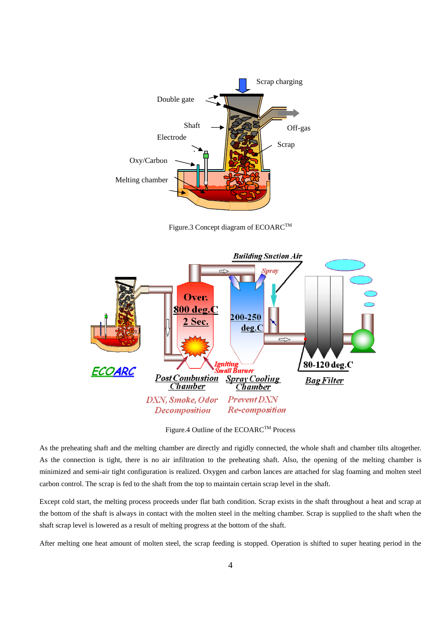

Figure.3 Concept diagram of ECOARC<sup>TM</sup>



Figure.4 Outline of the ECOARC™ Process

As the preheating shaft and the melting chamber are directly and rigidly connected, the whole shaft and chamber tilts altogether. As the connection is tight, there is no air infiltration to the preheating shaft. Also, the opening of the melting chamber is minimized and semi-air tight configuration is realized. Oxygen and carbon lances are attached for slag foaming and molten steel carbon control. The scrap is fed to the shaft from the top to maintain certain scrap level in the shaft.

Except cold start, the melting process proceeds under flat bath condition. Scrap exists in the shaft throughout a heat and scrap at the bottom of the shaft is always in contact with the molten steel in the melting chamber. Scrap is supplied to the shaft when the shaft scrap level is lowered as a result of melting progress at the bottom of the shaft.

After melting one heat amount of molten steel, the scrap feeding is stopped. Operation is shifted to super heating period in the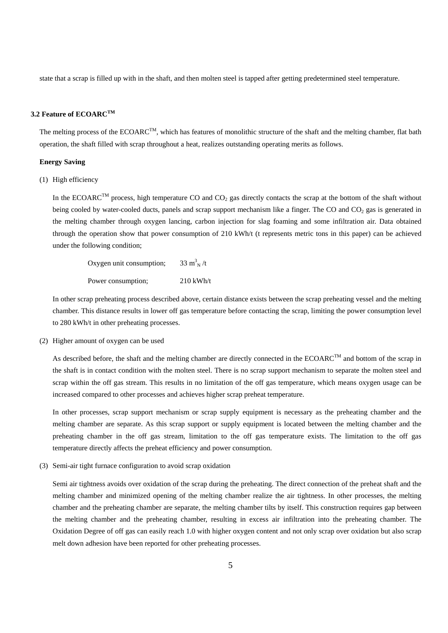state that a scrap is filled up with in the shaft, and then molten steel is tapped after getting predetermined steel temperature.

# 3.2 Feature of ECOARC<sup>TM</sup>

The melting process of the ECOARC<sup>TM</sup>, which has features of monolithic structure of the shaft and the melting chamber, flat bath operation, the shaft filled with scrap throughout a heat, realizes outstanding operating merits as follows.

#### **Energy Saving**

(1) High efficiency

In the ECOARC<sup>TM</sup> process, high temperature CO and CO<sub>2</sub> gas directly contacts the scrap at the bottom of the shaft without being cooled by water-cooled ducts, panels and scrap support mechanism like a finger. The CO and  $CO<sub>2</sub>$  gas is generated in the melting chamber through oxygen lancing, carbon injection for slag foaming and some infiltration air. Data obtained through the operation show that power consumption of 210 kWh/t (t represents metric tons in this paper) can be achieved under the following condition;

| Oxygen unit consumption; | 33 m <sup>3</sup> <sub>N</sub> /t |
|--------------------------|-----------------------------------|
| Power consumption;       | $210$ kWh/t                       |

In other scrap preheating process described above, certain distance exists between the scrap preheating vessel and the melting chamber. This distance results in lower off gas temperature before contacting the scrap, limiting the power consumption level to 280 kWh/t in other preheating processes.

(2) Higher amount of oxygen can be used

As described before, the shaft and the melting chamber are directly connected in the ECOARC<sup>TM</sup> and bottom of the scrap in the shaft is in contact condition with the molten steel. There is no scrap support mechanism to separate the molten steel and scrap within the off gas stream. This results in no limitation of the off gas temperature, which means oxygen usage can be increased compared to other processes and achieves higher scrap preheat temperature.

In other processes, scrap support mechanism or scrap supply equipment is necessary as the preheating chamber and the melting chamber are separate. As this scrap support or supply equipment is located between the melting chamber and the preheating chamber in the off gas stream, limitation to the off gas temperature exists. The limitation to the off gas temperature directly affects the preheat efficiency and power consumption.

(3) Semi-air tight furnace configuration to avoid scrap oxidation

Semi air tightness avoids over oxidation of the scrap during the preheating. The direct connection of the preheat shaft and the melting chamber and minimized opening of the melting chamber realize the air tightness. In other processes, the melting chamber and the preheating chamber are separate, the melting chamber tilts by itself. This construction requires gap between the melting chamber and the preheating chamber, resulting in excess air infiltration into the preheating chamber. The Oxidation Degree of off gas can easily reach 1.0 with higher oxygen content and not only scrap over oxidation but also scrap melt down adhesion have been reported for other preheating processes.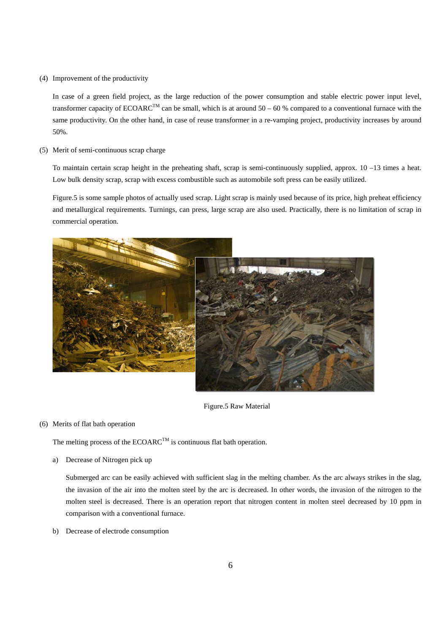(4) Improvement of the productivity

In case of a green field project, as the large reduction of the power consumption and stable electric power input level, transformer capacity of  $ECOARC^{TM}$  can be small, which is at around 50 – 60 % compared to a conventional furnace with the same productivity. On the other hand, in case of reuse transformer in a re-vamping project, productivity increases by around 50%.

(5) Merit of semi-continuous scrap charge

To maintain certain scrap height in the preheating shaft, scrap is semi-continuously supplied, approx.  $10 - 13$  times a heat. Low bulk density scrap, scrap with excess combustible such as automobile soft press can be easily utilized.

Figure.5 is some sample photos of actually used scrap. Light scrap is mainly used because of its price, high preheat efficiency and metallurgical requirements. Turnings, can press, large scrap are also used. Practically, there is no limitation of scrap in commercial operation.



Figure.5 Raw Material

## (6) Merits of flat bath operation

The melting process of the  $ECOARC^{TM}$  is continuous flat bath operation.

a) Decrease of Nitrogen pick up

Submerged arc can be easily achieved with sufficient slag in the melting chamber. As the arc always strikes in the slag, the invasion of the air into the molten steel by the arc is decreased. In other words, the invasion of the nitrogen to the molten steel is decreased. There is an operation report that nitrogen content in molten steel decreased by 10 ppm in comparison with a conventional furnace.

b) Decrease of electrode consumption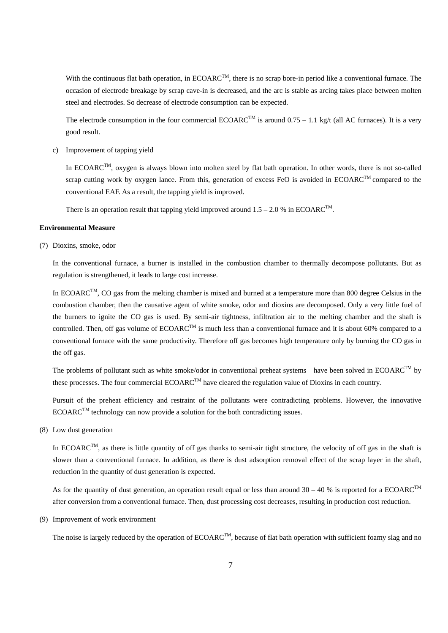With the continuous flat bath operation, in  $ECOARC^{TM}$ , there is no scrap bore-in period like a conventional furnace. The occasion of electrode breakage by scrap cave-in is decreased, and the arc is stable as arcing takes place between molten steel and electrodes. So decrease of electrode consumption can be expected.

The electrode consumption in the four commercial ECOARC<sup>TM</sup> is around  $0.75 - 1.1$  kg/t (all AC furnaces). It is a very good result.

c) Improvement of tapping yield

In ECOARC<sup>TM</sup>, oxygen is always blown into molten steel by flat bath operation. In other words, there is not so-called scrap cutting work by oxygen lance. From this, generation of excess FeO is avoided in  $ECOARC^{TM}$  compared to the conventional EAF. As a result, the tapping yield is improved.

There is an operation result that tapping yield improved around  $1.5 - 2.0$  % in ECOARC<sup>TM</sup>.

#### **Environmental Measure**

(7) Dioxins, smoke, odor

In the conventional furnace, a burner is installed in the combustion chamber to thermally decompose pollutants. But as regulation is strengthened, it leads to large cost increase.

In  $ECOARC^{TM}$ , CO gas from the melting chamber is mixed and burned at a temperature more than 800 degree Celsius in the combustion chamber, then the causative agent of white smoke, odor and dioxins are decomposed. Only a very little fuel of the burners to ignite the CO gas is used. By semi-air tightness, infiltration air to the melting chamber and the shaft is controlled. Then, off gas volume of  $ECOARC^{TM}$  is much less than a conventional furnace and it is about 60% compared to a conventional furnace with the same productivity. Therefore off gas becomes high temperature only by burning the CO gas in the off gas.

The problems of pollutant such as white smoke/odor in conventional preheat systems have been solved in ECOARC<sup>TM</sup> by these processes. The four commercial  $ECOARC^{TM}$  have cleared the regulation value of Dioxins in each country.

Pursuit of the preheat efficiency and restraint of the pollutants were contradicting problems. However, the innovative  $ECOARC^{TM}$  technology can now provide a solution for the both contradicting issues.

(8) Low dust generation

In ECOARC<sup>TM</sup>, as there is little quantity of off gas thanks to semi-air tight structure, the velocity of off gas in the shaft is slower than a conventional furnace. In addition, as there is dust adsorption removal effect of the scrap layer in the shaft, reduction in the quantity of dust generation is expected.

As for the quantity of dust generation, an operation result equal or less than around  $30 - 40$  % is reported for a ECOARC<sup>TM</sup> after conversion from a conventional furnace. Then, dust processing cost decreases, resulting in production cost reduction.

(9) Improvement of work environment

The noise is largely reduced by the operation of ECOARC<sup>TM</sup>, because of flat bath operation with sufficient foamy slag and no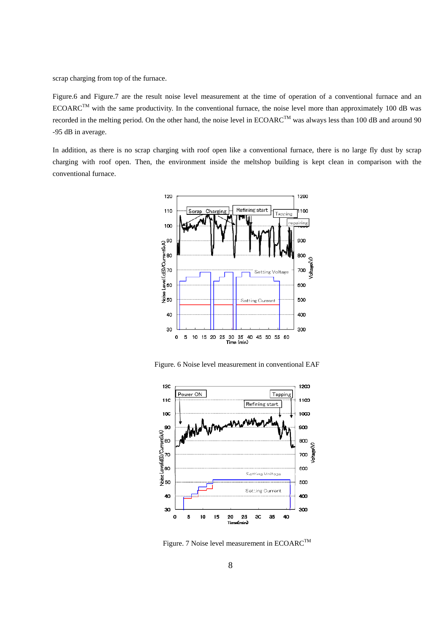scrap charging from top of the furnace.

Figure.6 and Figure.7 are the result noise level measurement at the time of operation of a conventional furnace and an ECOARC<sup>TM</sup> with the same productivity. In the conventional furnace, the noise level more than approximately 100 dB was recorded in the melting period. On the other hand, the noise level in ECOARC<sup>TM</sup> was always less than 100 dB and around 90 -95 dB in average.

In addition, as there is no scrap charging with roof open like a conventional furnace, there is no large fly dust by scrap charging with roof open. Then, the environment inside the meltshop building is kept clean in comparison with the conventional furnace.



Figure. 6 Noise level measurement in conventional EAF



Figure. 7 Noise level measurement in ECOARC<sup>TM</sup>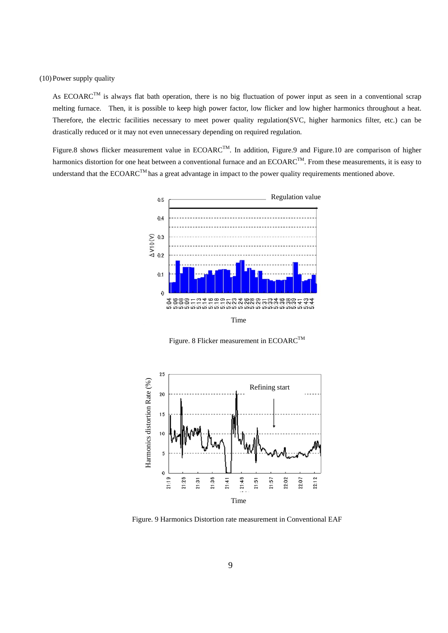(10)Power supply quality

As  $ECOARC^{TM}$  is always flat bath operation, there is no big fluctuation of power input as seen in a conventional scrap melting furnace. Then, it is possible to keep high power factor, low flicker and low higher harmonics throughout a heat. Therefore, the electric facilities necessary to meet power quality regulation(SVC, higher harmonics filter, etc.) can be drastically reduced or it may not even unnecessary depending on required regulation.

Figure.8 shows flicker measurement value in ECOARC<sup>TM</sup>. In addition, Figure.9 and Figure.10 are comparison of higher harmonics distortion for one heat between a conventional furnace and an ECOARC<sup>TM</sup>. From these measurements, it is easy to understand that the ECOARC<sup>TM</sup> has a great advantage in impact to the power quality requirements mentioned above.



Figure. 8 Flicker measurement in ECOARC<sup>TM</sup>



Figure. 9 Harmonics Distortion rate measurement in Conventional EAF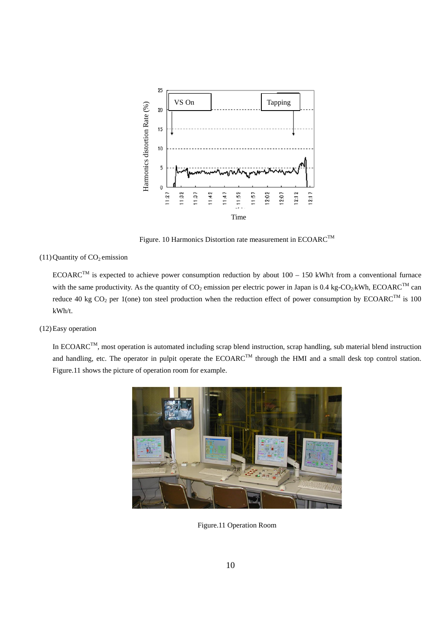

Figure. 10 Harmonics Distortion rate measurement in ECOARC<sup>TM</sup>

### $(11)$  Quantity of  $CO<sub>2</sub>$  emission

ECOARC<sup>TM</sup> is expected to achieve power consumption reduction by about  $100 - 150$  kWh/t from a conventional furnace with the same productivity. As the quantity of  $CO_2$  emission per electric power in Japan is 0.4 kg-CO<sub>2</sub>/kWh, ECOARC<sup>TM</sup> can reduce 40 kg CO<sub>2</sub> per 1(one) ton steel production when the reduction effect of power consumption by ECOARC<sup>TM</sup> is 100 kWh/t.

(12)Easy operation

In ECOARC<sup>TM</sup>, most operation is automated including scrap blend instruction, scrap handling, sub material blend instruction and handling, etc. The operator in pulpit operate the ECOARC<sup>TM</sup> through the HMI and a small desk top control station. Figure.11 shows the picture of operation room for example.



Figure.11 Operation Room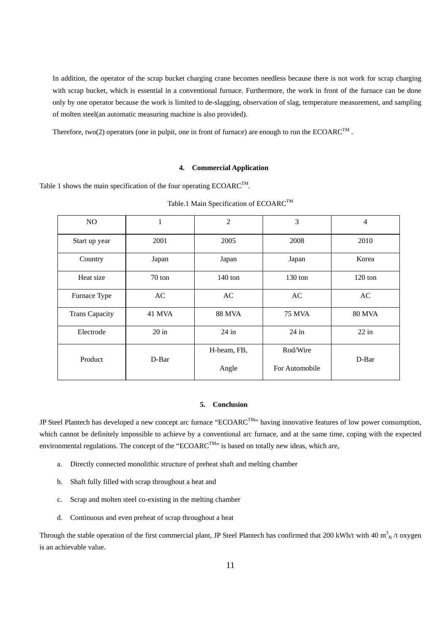In addition, the operator of the scrap bucket charging crane becomes needless because there is not work for scrap charging with scrap bucket, which is essential in a conventional furnace. Furthermore, the work in front of the furnace can be done only by one operator because the work is limited to de-slagging, observation of slag, temperature measurement, and sampling of molten steel(an automatic measuring machine is also provided).

Therefore, two(2) operators (one in pulpit, one in front of furnace) are enough to run the ECOARC<sup>TM</sup>.

#### **4. Commercial Application**

Table 1 shows the main specification of the four operating  $ECOARC^{TM}$ .

| NO.                   | 1                | $\overline{2}$ | 3              | $\overline{4}$    |
|-----------------------|------------------|----------------|----------------|-------------------|
| Start up year         | 2001             | 2005           | 2008           | 2010              |
| Country               | Japan            | Japan          | Japan          | Korea             |
| Heat size             | $70 \text{ ton}$ | $140$ ton      | $130$ ton      | $120 \text{ ton}$ |
| Furnace Type          | AC               | AC             | AC             | AC                |
| <b>Trans Capacity</b> | 41 MVA           | <b>88 MVA</b>  | <b>75 MVA</b>  | <b>80 MVA</b>     |
| Electrode             | $20$ in          | $24$ in        | $24$ in        | $22$ in           |
| Product               | D-Bar            | H-beam, FB,    | Rod/Wire       | D-Bar             |
|                       |                  | Angle          | For Automobile |                   |

Table.1 Main Specification of ECOARC<sup>TM</sup>

#### **5. Conclusion**

JP Steel Plantech has developed a new concept arc furnace "ECOARC<sup>TM</sup>" having innovative features of low power consumption, which cannot be definitely impossible to achieve by a conventional arc furnace, and at the same time, coping with the expected environmental regulations. The concept of the "ECOARC<sup>TM</sup>" is based on totally new ideas, which are,

- a. Directly connected monolithic structure of preheat shaft and melting chamber
- b. Shaft fully filled with scrap throughout a heat and
- c. Scrap and molten steel co-existing in the melting chamber
- d. Continuous and even preheat of scrap throughout a heat

Through the stable operation of the first commercial plant, JP Steel Plantech has confirmed that 200 kWh/t with 40  $m_N^3$  /t oxygen is an achievable value.